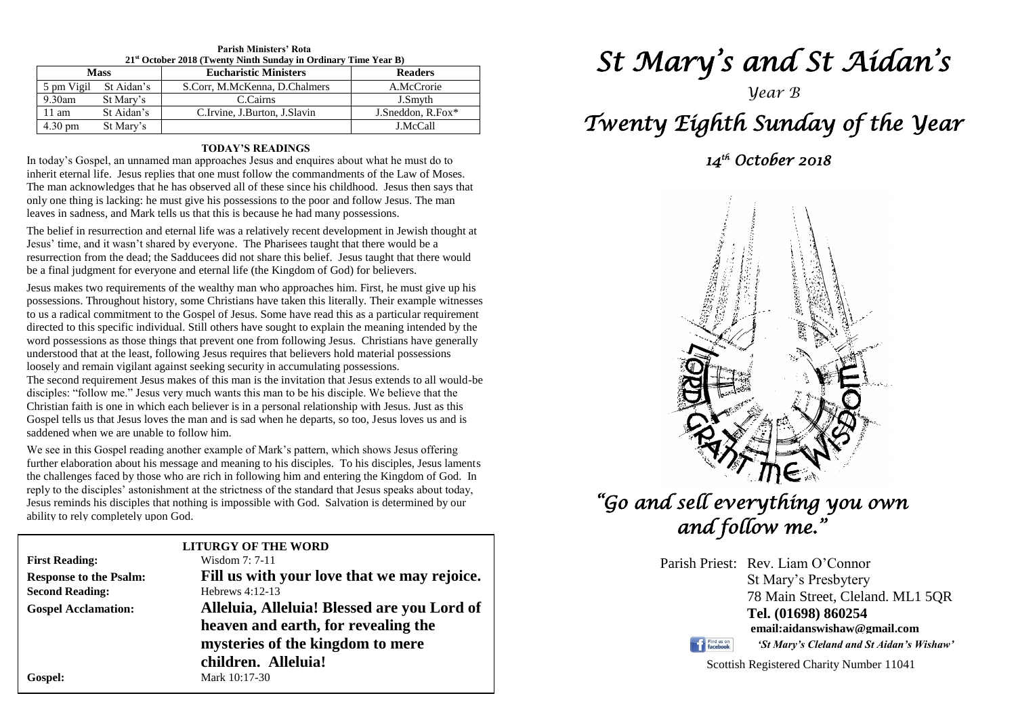| $21st$ October 2018 (Twenty Ninth Sunday in Ordinary Time Year B) |            |                               |                   |  |  |
|-------------------------------------------------------------------|------------|-------------------------------|-------------------|--|--|
| <b>Mass</b>                                                       |            | <b>Eucharistic Ministers</b>  | <b>Readers</b>    |  |  |
| 5 pm Vigil                                                        | St Aidan's | S.Corr, M.McKenna, D.Chalmers | A.McCrorie        |  |  |
| 9.30am                                                            | St Mary's  | C.Cairns                      | J.Smyth           |  |  |
| 11 am                                                             | St Aidan's | C.Irvine, J.Burton, J.Slavin  | J.Sneddon, R.Fox* |  |  |
| $4.30 \text{ pm}$                                                 | St Mary's  |                               | J.McCall          |  |  |

## **Parish Ministers' Rota**

#### **TODAY'S READINGS**

In today's Gospel, an unnamed man approaches Jesus and enquires about what he must do to inherit eternal life. Jesus replies that one must follow the commandments of the Law of Moses. The man acknowledges that he has observed all of these since his childhood. Jesus then says that only one thing is lacking: he must give his possessions to the poor and follow Jesus. The man leaves in sadness, and Mark tells us that this is because he had many possessions.

The belief in resurrection and eternal life was a relatively recent development in Jewish thought at Jesus' time, and it wasn't shared by everyone. The Pharisees taught that there would be a resurrection from the dead; the Sadducees did not share this belief. Jesus taught that there would be a final judgment for everyone and eternal life (the Kingdom of God) for believers.

roosery and remain vignant against seeking security in accumulating possessions.<br>The second requirement Jesus makes of this man is the invitation that Jesus extends to all wouldisciples: "follow me." Jesus very much wants Gospel tells us that Jesus loves the man and is sad when he departs, so too, Jesus loves us and is saddened when we are unable to follow him. Jesus makes two requirements of the wealthy man who approaches him. First, he must give up his possessions. Throughout history, some Christians have taken this literally. Their example witnesses to us a radical commitment to the Gospel of Jesus. Some have read this as a particular requirement directed to this specific individual. Still others have sought to explain the meaning intended by the word possessions as those things that prevent one from following Jesus. Christians have generally understood that at the least, following Jesus requires that believers hold material possessions loosely and remain vigilant against seeking security in accumulating possessions. The second requirement Jesus makes of this man is the invitation that Jesus extends to all would-be Christian faith is one in which each believer is in a personal relationship with Jesus. Just as this saddened when we are unable to follow him.

We see in this Gospel reading another example of Mark's pattern, which shows Jesus offering<br>further elaboration about his message and meaning to his disciples. To his disciples, Jesus laments<br>the challenges faced by those reply to the disciples' astonishment at the strictness of the standard that Jesus speaks about today<br>Jesus reminds his disciples that nothing is impossible with God. Salvation is determined by our<br>ability to rely completel We see in this Gospel reading another example of Mark's pattern, which shows Jesus offering the challenges faced by those who are rich in following him and entering the Kingdom of God. In reply to the disciples' astonishment at the strictness of the standard that Jesus speaks about today, ability to rely completely upon God.

|                               | <b>LITURGY OF THE WORD</b>                  |  |  |
|-------------------------------|---------------------------------------------|--|--|
| <b>First Reading:</b>         | Wisdom 7: 7-11                              |  |  |
| <b>Response to the Psalm:</b> | Fill us with your love that we may rejoice. |  |  |
| <b>Second Reading:</b>        | Hebrews $4:12-13$                           |  |  |
| <b>Gospel Acclamation:</b>    | Alleluia, Alleluia! Blessed are you Lord of |  |  |
|                               | heaven and earth, for revealing the         |  |  |
|                               | mysteries of the kingdom to mere            |  |  |
|                               | children. Alleluia!                         |  |  |
| Gospel:                       | Mark 10:17-30                               |  |  |
|                               |                                             |  |  |

# *St Mary's and St Aidan's*

### *Year B*

# *Twenty Eighth Sunday of the Year*

 *14th October 2018* 



# *"Go and sell everything you own and follow me."*

Parish Priest: Rev. Liam O'Connor St Mary's Presbytery 78 Main Street, Cleland. ML1 5QR **Tel. (01698) 860254 email:aidanswishaw@gmail.com**

Find us on

*'St Mary's Cleland and St Aidan's Wishaw'*

Scottish Registered Charity Number 11041